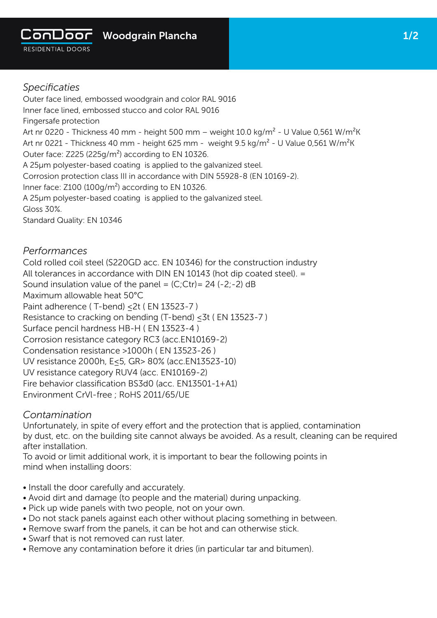

# *Specificaties*

Outer face lined, embossed woodgrain and color RAL 9016 Inner face lined, embossed stucco and color RAL 9016 Fingersafe protection Art nr 0220 - Thickness 40 mm - height 500 mm - weight 10.0 kg/m<sup>2</sup> - U Value 0,561 W/m<sup>2</sup>K Art nr 0221 - Thickness 40 mm - height 625 mm - weight 9.5 kg/m<sup>2</sup> - U Value 0,561 W/m<sup>2</sup>K Outer face: Z225 (225g/m²) according to EN 10326. A 25µm polyester-based coating is applied to the galvanized steel. Corrosion protection class III in accordance with DIN 55928-8 (EN 10169-2). Inner face:  $Z100 (100q/m^2)$  according to EN 10326. A 25µm polyester-based coating is applied to the galvanized steel. Gloss 30%.

Standard Quality: EN 10346

### *Performances*

Cold rolled coil steel (S220GD acc. EN 10346) for the construction industry All tolerances in accordance with DIN EN 10143 (hot dip coated steel). = Sound insulation value of the panel =  $(C;)$ Ctr) = 24 (-2;-2) dB Maximum allowable heat 50°C Paint adherence (T-bend) < 2t ( EN 13523-7 ) Resistance to cracking on bending (T-bend) ≤3t ( EN 13523-7 ) Surface pencil hardness HB-H ( EN 13523-4 ) Corrosion resistance category RC3 (acc.EN10169-2) Condensation resistance >1000h ( EN 13523-26 ) UV resistance 2000h, E≤5, GR> 80% (acc.EN13523-10) UV resistance category RUV4 (acc. EN10169-2) Fire behavior classification BS3d0 (acc. EN13501-1+A1) Environment CrVl-free ; RoHS 2011/65/UE

#### *Contamination*

Unfortunately, in spite of every effort and the protection that is applied, contamination by dust, etc. on the building site cannot always be avoided. As a result, cleaning can be required after installation.

To avoid or limit additional work, it is important to bear the following points in mind when installing doors:

- Install the door carefully and accurately.
- Avoid dirt and damage (to people and the material) during unpacking.
- Pick up wide panels with two people, not on your own.
- Do not stack panels against each other without placing something in between.
- Remove swarf from the panels, it can be hot and can otherwise stick.
- Swarf that is not removed can rust later.
- Remove any contamination before it dries (in particular tar and bitumen).